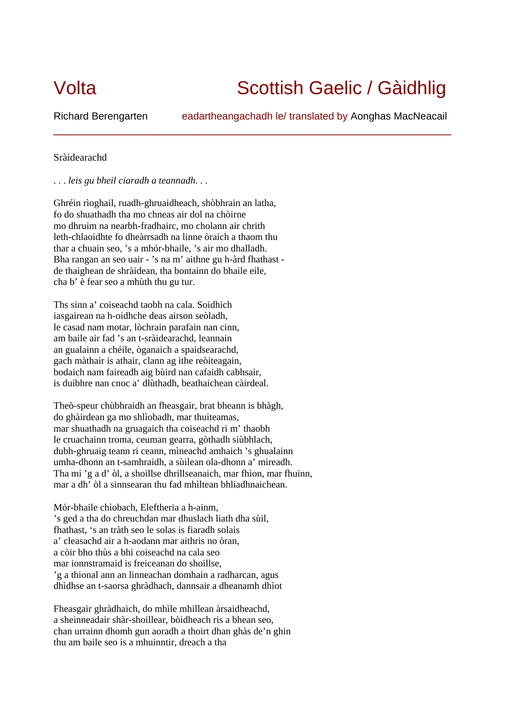## Volta Scottish Gaelic / Gàidhlig

Richard Berengarten eadartheangachadh le/ translated by Aonghas MacNeacail

\_\_\_\_\_\_\_\_\_\_\_\_\_\_\_\_\_\_\_\_\_\_\_\_\_\_\_\_\_\_\_\_\_\_\_\_\_\_\_\_\_\_\_\_\_\_\_\_\_\_\_\_\_\_\_\_\_\_\_\_

## Sràidearachd

. . . *leis gu bheil ciaradh a teannadh*. . .

Ghréin rìoghail, ruadh-ghruaidheach, shòbhrain an latha, fo do shuathadh tha mo chneas air dol na chòirne mo dhruim na nearbh-fradhairc, mo cholann air chrith leth-chlaoidhte fo dheàrrsadh na linne òraich a thaom thu thar a chuain seo, 's a mhór-bhaile, 's air mo dhalladh. Bha rangan an seo uair - 's na m' aithne gu h-àrd fhathast de thaighean de shràidean, tha bontainn do bhaile eile, cha b' è fear seo a mhùth thu gu tur.

Ths sinn a' coiseachd taobh na cala. Soidhich iasgairean na h-oidhche deas airson seòladh, le casad nam motar, lòchrain parafain nan cinn, am baile air fad 's an t-sràidearachd, leannain an gualainn a chéile, òganaich a spaidsearachd, gach màthair is athair, clann ag ithe reòiteagain, bodaich nam faireadh aig bùird nan cafaidh cabhsair, is duibhre nan cnoc a' dlùthadh, beathaichean càirdeal.

Theò-speur chùbhraidh an fheasgair, brat bheann is bhàgh, do ghàirdean ga mo shlìobadh, mar thuiteamas, mar shuathadh na gruagaich tha coiseachd ri m' thaobh le cruachainn troma, ceuman gearra, gòthadh siùbhlach, dubh-ghruaig teann ri ceann, mìneachd amhaich 's ghualainn umha-dhonn an t-samhraidh, a sùilean ola-dhonn a' mireadh. Tha mi 'g a d' òl, a shoillse dhrillseanaich, mar fhìon, mar fhuinn, mar a dh' òl a sinnsearan thu fad mhìltean bhliadhnaichean.

Mór-bhaile chìobach, Eleftheria a h-ainm, 's ged a tha do chreuchdan mar dhuslach liath dha sùil, fhathast, 's an tràth seo le solas is fiaradh solais a' cleasachd air a h-aodann mar aithris no òran, a còir bho thùs a bhi coiseachd na cala seo mar ionnstramaid is freiceanan do shoillse, 'g a thional ann an linneachan domhain a radharcan, agus dhìdhse an t-saorsa ghràdhach, dannsair a dheanamh dhìot

Fheasgair ghràdhaich, do mhìle mhillean àrsaidheachd, a sheinneadair shàr-shoillear, bòidheach ris a bhean seo, chan urrainn dhomh gun aoradh a thoirt dhan ghàs de'n ghin thu am baile seo is a mhuinntir, dreach a tha